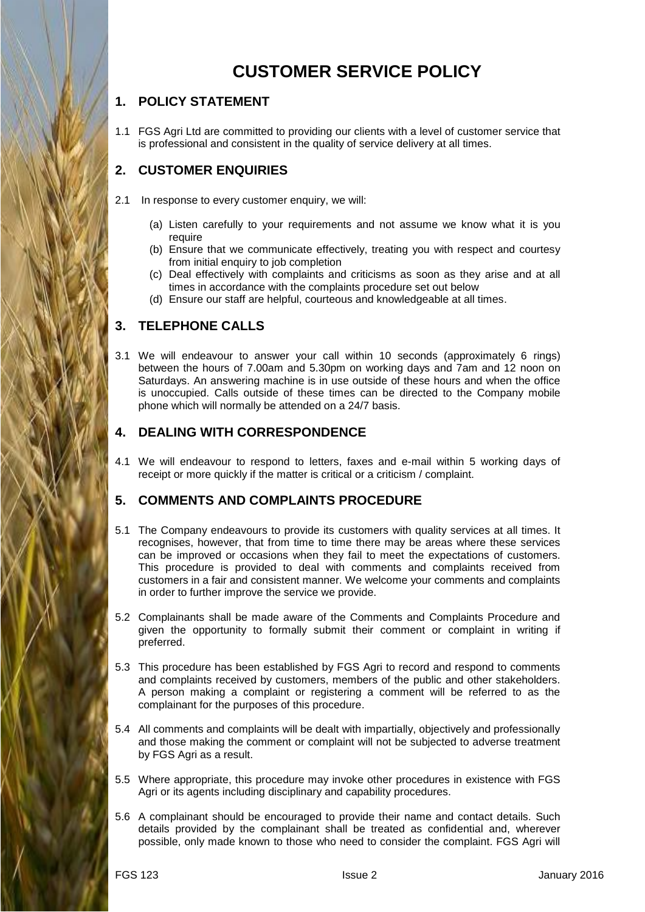# **CUSTOMER SERVICE POLICY**

# **1. POLICY STATEMENT**

1.1 FGS Agri Ltd are committed to providing our clients with a level of customer service that is professional and consistent in the quality of service delivery at all times.

# **2. CUSTOMER ENQUIRIES**

- 2.1 In response to every customer enquiry, we will:
	- (a) Listen carefully to your requirements and not assume we know what it is you require
	- (b) Ensure that we communicate effectively, treating you with respect and courtesy from initial enquiry to job completion
	- (c) Deal effectively with complaints and criticisms as soon as they arise and at all times in accordance with the complaints procedure set out below
	- (d) Ensure our staff are helpful, courteous and knowledgeable at all times.

## **3. TELEPHONE CALLS**

3.1 We will endeavour to answer your call within 10 seconds (approximately 6 rings) between the hours of 7.00am and 5.30pm on working days and 7am and 12 noon on Saturdays. An answering machine is in use outside of these hours and when the office is unoccupied. Calls outside of these times can be directed to the Company mobile phone which will normally be attended on a 24/7 basis.

# **4. DEALING WITH CORRESPONDENCE**

4.1 We will endeavour to respond to letters, faxes and e-mail within 5 working days of receipt or more quickly if the matter is critical or a criticism / complaint.

## **5. COMMENTS AND COMPLAINTS PROCEDURE**

- 5.1 The Company endeavours to provide its customers with quality services at all times. It recognises, however, that from time to time there may be areas where these services can be improved or occasions when they fail to meet the expectations of customers. This procedure is provided to deal with comments and complaints received from customers in a fair and consistent manner. We welcome your comments and complaints in order to further improve the service we provide.
- 5.2 Complainants shall be made aware of the Comments and Complaints Procedure and given the opportunity to formally submit their comment or complaint in writing if preferred.
- 5.3 This procedure has been established by FGS Agri to record and respond to comments and complaints received by customers, members of the public and other stakeholders. A person making a complaint or registering a comment will be referred to as the complainant for the purposes of this procedure.
- 5.4 All comments and complaints will be dealt with impartially, objectively and professionally and those making the comment or complaint will not be subjected to adverse treatment by FGS Agri as a result.
- 5.5 Where appropriate, this procedure may invoke other procedures in existence with FGS Agri or its agents including disciplinary and capability procedures.
- 5.6 A complainant should be encouraged to provide their name and contact details. Such details provided by the complainant shall be treated as confidential and, wherever possible, only made known to those who need to consider the complaint. FGS Agri will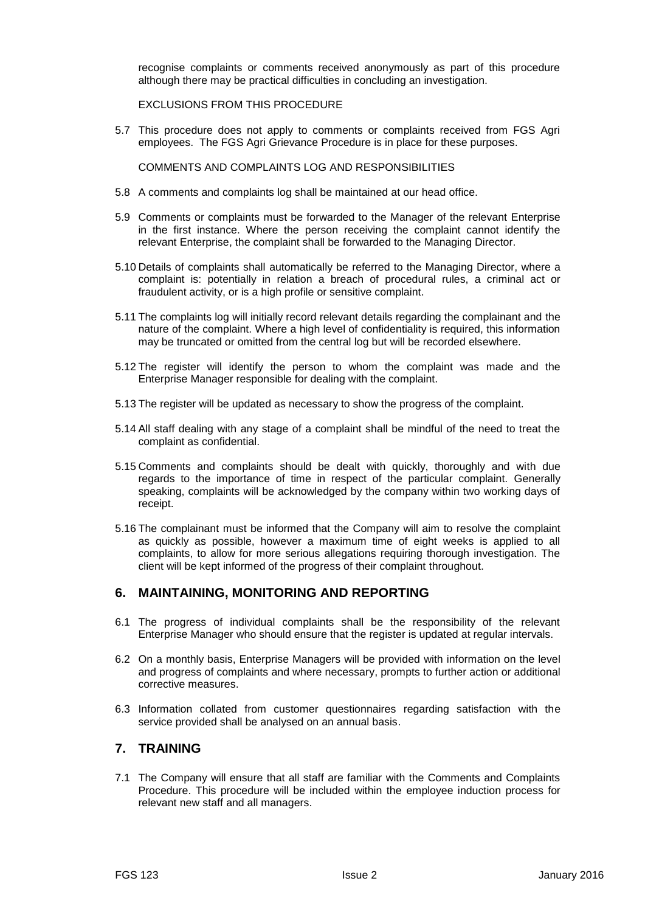recognise complaints or comments received anonymously as part of this procedure although there may be practical difficulties in concluding an investigation.

EXCLUSIONS FROM THIS PROCEDURE

5.7 This procedure does not apply to comments or complaints received from FGS Agri employees. The FGS Agri Grievance Procedure is in place for these purposes.

COMMENTS AND COMPLAINTS LOG AND RESPONSIBILITIES

- 5.8 A comments and complaints log shall be maintained at our head office.
- 5.9 Comments or complaints must be forwarded to the Manager of the relevant Enterprise in the first instance. Where the person receiving the complaint cannot identify the relevant Enterprise, the complaint shall be forwarded to the Managing Director.
- 5.10 Details of complaints shall automatically be referred to the Managing Director, where a complaint is: potentially in relation a breach of procedural rules, a criminal act or fraudulent activity, or is a high profile or sensitive complaint.
- 5.11 The complaints log will initially record relevant details regarding the complainant and the nature of the complaint. Where a high level of confidentiality is required, this information may be truncated or omitted from the central log but will be recorded elsewhere.
- 5.12 The register will identify the person to whom the complaint was made and the Enterprise Manager responsible for dealing with the complaint.
- 5.13 The register will be updated as necessary to show the progress of the complaint.
- 5.14 All staff dealing with any stage of a complaint shall be mindful of the need to treat the complaint as confidential.
- 5.15 Comments and complaints should be dealt with quickly, thoroughly and with due regards to the importance of time in respect of the particular complaint. Generally speaking, complaints will be acknowledged by the company within two working days of receipt.
- 5.16 The complainant must be informed that the Company will aim to resolve the complaint as quickly as possible, however a maximum time of eight weeks is applied to all complaints, to allow for more serious allegations requiring thorough investigation. The client will be kept informed of the progress of their complaint throughout.

#### **6. MAINTAINING, MONITORING AND REPORTING**

- 6.1 The progress of individual complaints shall be the responsibility of the relevant Enterprise Manager who should ensure that the register is updated at regular intervals.
- 6.2 On a monthly basis, Enterprise Managers will be provided with information on the level and progress of complaints and where necessary, prompts to further action or additional corrective measures.
- 6.3 Information collated from customer questionnaires regarding satisfaction with the service provided shall be analysed on an annual basis.

#### **7. TRAINING**

7.1 The Company will ensure that all staff are familiar with the Comments and Complaints Procedure. This procedure will be included within the employee induction process for relevant new staff and all managers.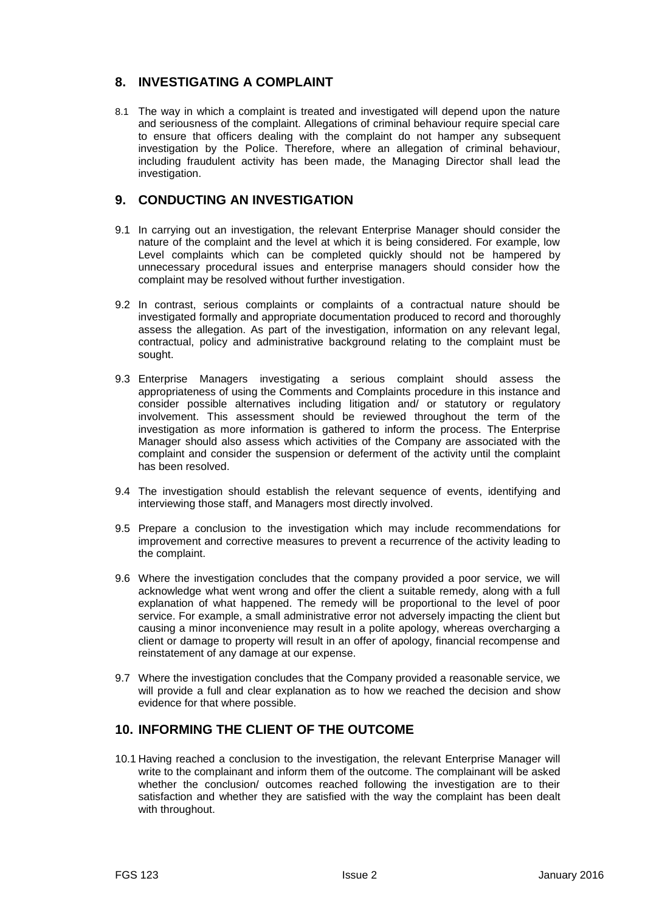### **8. INVESTIGATING A COMPLAINT**

8.1 The way in which a complaint is treated and investigated will depend upon the nature and seriousness of the complaint. Allegations of criminal behaviour require special care to ensure that officers dealing with the complaint do not hamper any subsequent investigation by the Police. Therefore, where an allegation of criminal behaviour, including fraudulent activity has been made, the Managing Director shall lead the investigation.

### **9. CONDUCTING AN INVESTIGATION**

- 9.1 In carrying out an investigation, the relevant Enterprise Manager should consider the nature of the complaint and the level at which it is being considered. For example, low Level complaints which can be completed quickly should not be hampered by unnecessary procedural issues and enterprise managers should consider how the complaint may be resolved without further investigation.
- 9.2 In contrast, serious complaints or complaints of a contractual nature should be investigated formally and appropriate documentation produced to record and thoroughly assess the allegation. As part of the investigation, information on any relevant legal, contractual, policy and administrative background relating to the complaint must be sought.
- 9.3 Enterprise Managers investigating a serious complaint should assess the appropriateness of using the Comments and Complaints procedure in this instance and consider possible alternatives including litigation and/ or statutory or regulatory involvement. This assessment should be reviewed throughout the term of the investigation as more information is gathered to inform the process. The Enterprise Manager should also assess which activities of the Company are associated with the complaint and consider the suspension or deferment of the activity until the complaint has been resolved.
- 9.4 The investigation should establish the relevant sequence of events, identifying and interviewing those staff, and Managers most directly involved.
- 9.5 Prepare a conclusion to the investigation which may include recommendations for improvement and corrective measures to prevent a recurrence of the activity leading to the complaint.
- 9.6 Where the investigation concludes that the company provided a poor service, we will acknowledge what went wrong and offer the client a suitable remedy, along with a full explanation of what happened. The remedy will be proportional to the level of poor service. For example, a small administrative error not adversely impacting the client but causing a minor inconvenience may result in a polite apology, whereas overcharging a client or damage to property will result in an offer of apology, financial recompense and reinstatement of any damage at our expense.
- 9.7 Where the investigation concludes that the Company provided a reasonable service, we will provide a full and clear explanation as to how we reached the decision and show evidence for that where possible.

### **10. INFORMING THE CLIENT OF THE OUTCOME**

10.1 Having reached a conclusion to the investigation, the relevant Enterprise Manager will write to the complainant and inform them of the outcome. The complainant will be asked whether the conclusion/ outcomes reached following the investigation are to their satisfaction and whether they are satisfied with the way the complaint has been dealt with throughout.